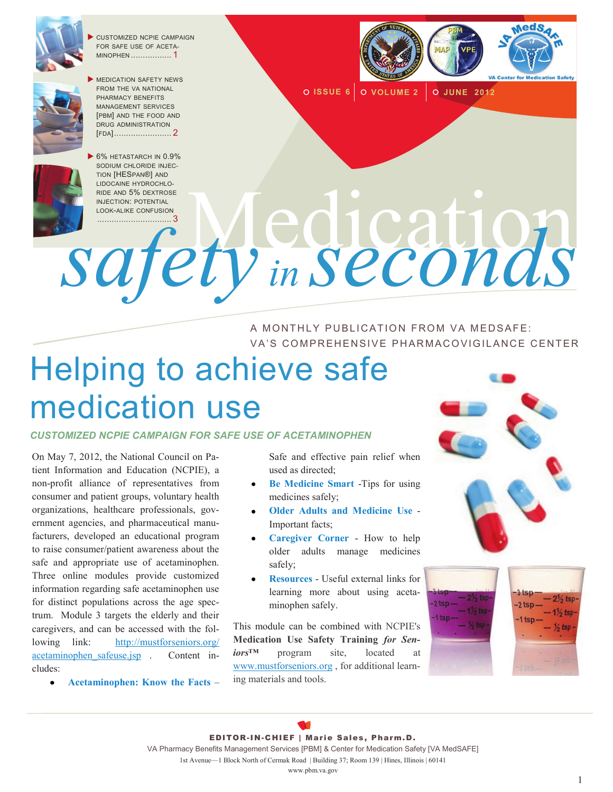

 CUSTOMIZED NCPIE CAMPAIGN FOR SAFE USE OF ACETA-MINOPHEN ................. 1



 MEDICATION SAFETY NEWS FROM THE VA NATIONAL PHARMACY BENEFITS MANAGEMENT SERVICES [PBM] AND THE FOOD AND DRUG ADMINISTRATION [FDA]........................ 2



**ISSUE 6 VOLUME 2 JUNE 2012**

INDE AND 5% DEXTROSE<br>INJECTION: POTENTIAL<br>
OF OF Y

*safety in seconds* A MONTHLY PUBLICATION FROM VA MEDSAFE:

VA'S COMPREHENSIVE PHARMACOVIGILANCE CENTER

# Helping to achieve safe medication use

*CUSTOMIZED NCPIE CAMPAIGN FOR SAFE USE OF ACETAMINOPHEN* 

On May 7, 2012, the National Council on Patient Information and Education (NCPIE), a non-profit alliance of representatives from consumer and patient groups, voluntary health organizations, healthcare professionals, government agencies, and pharmaceutical manufacturers, developed an educational program to raise consumer/patient awareness about the safe and appropriate use of acetaminophen. Three online modules provide customized information regarding safe acetaminophen use for distinct populations across the age spectrum. Module 3 targets the elderly and their caregivers, and can be accessed with the following link: [http://mustforseniors.org/](http://mustforseniors.org/acetaminophen_safeuse.jsp) acetaminophen safeuse.jsp . Content includes:

**[Acetaminophen: Know the Facts](http://mustforseniors.org/acetaminophen_facts.jsp)** –

Safe and effective pain relief when used as directed;

- **[Be Medicine Smart](http://mustforseniors.org/acetaminophen_besmart.jsp)** -Tips for using medicines safely;
- **[Older Adults and Medicine Use](http://mustforseniors.org/acetaminophen_olderadults.jsp)** Important facts;
- **[Caregiver Corner](http://mustforseniors.org/acetaminophen_caregiver.jsp)** How to help older adults manage medicines safely;
- **[Resources](http://mustforseniors.org/acetaminophen_resources.jsp)** Useful external links for learning more about using acetaminophen safely.

This module can be combined with NCPIE's **Medication Use Safety Training** *for Seniors*<sup>™</sup> program site, located [www.mustforseniors.org](http://www.mustforseniors.org) , for additional learning materials and tools.



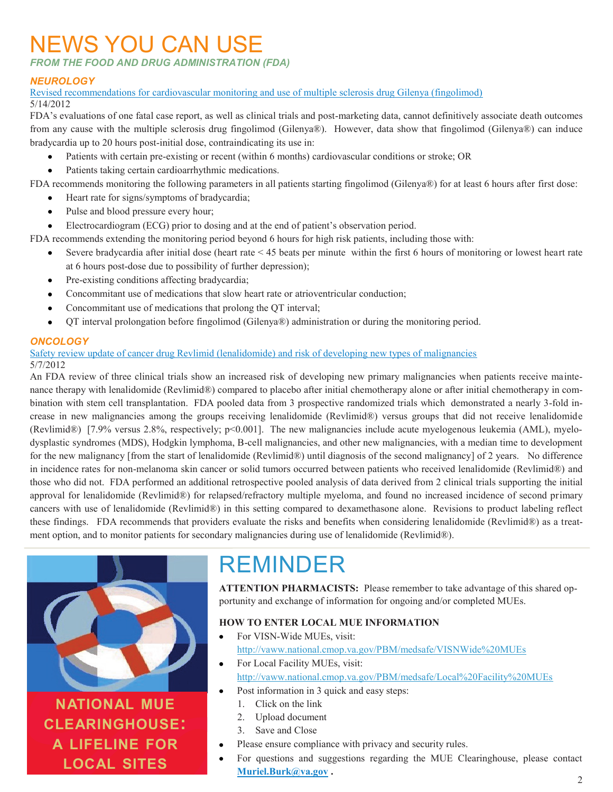## NEWS YOU CAN USE

*FROM THE FOOD AND DRUG ADMINISTRATION (FDA)*

### *NEUROLOGY*

[Revised recommendations for cardiovascular monitoring and use of multiple sclerosis drug Gilenya \(fingolimod\)](http://www.fda.gov/Drugs/DrugSafety/ucm303192.htm) 5/14/2012

FDA's evaluations of one fatal case report, as well as clinical trials and post-marketing data, cannot definitively associate death outcomes from any cause with the multiple sclerosis drug fingolimod (Gilenya®). However, data show that fingolimod (Gilenya®) can induce bradycardia up to 20 hours post-initial dose, contraindicating its use in:

- Patients with certain pre-existing or recent (within 6 months) cardiovascular conditions or stroke; OR
- Patients taking certain cardioarrhythmic medications.

FDA recommends monitoring the following parameters in all patients starting fingolimod (Gilenya®) for at least 6 hours after first dose:

- $\bullet$ Heart rate for signs/symptoms of bradycardia;
- Pulse and blood pressure every hour;  $\bullet$
- Electrocardiogram (ECG) prior to dosing and at the end of patient's observation period.  $\bullet$

FDA recommends extending the monitoring period beyond 6 hours for high risk patients, including those with:

- Severe bradycardia after initial dose (heart rate < 45 beats per minute within the first 6 hours of monitoring or lowest heart rate at 6 hours post-dose due to possibility of further depression);
- Pre-existing conditions affecting bradycardia;  $\bullet$
- Concommitant use of medications that slow heart rate or atrioventricular conduction;  $\bullet$
- Concommitant use of medications that prolong the QT interval;  $\bullet$
- $\bullet$ QT interval prolongation before fingolimod (Gilenya®) administration or during the monitoring period.

### *ONCOLOGY*

#### [Safety review update of cancer drug Revlimid \(lenalidomide\) and risk of developing new types of malignancies](http://www.fda.gov/Drugs/DrugSafety/ucm302939.htm) 5/7/2012

An FDA review of three clinical trials show an increased risk of developing new primary malignancies when patients receive maintenance therapy with lenalidomide (Revlimid®) compared to placebo after initial chemotherapy alone or after initial chemotherapy in combination with stem cell transplantation. FDA pooled data from 3 prospective randomized trials which demonstrated a nearly 3-fold increase in new malignancies among the groups receiving lenalidomide (Revlimid®) versus groups that did not receive lenalidomide (Revlimid®) [7.9% versus 2.8%, respectively; p<0.001]. The new malignancies include acute myelogenous leukemia (AML), myelodysplastic syndromes (MDS), Hodgkin lymphoma, B-cell malignancies, and other new malignancies, with a median time to development for the new malignancy [from the start of lenalidomide (Revlimid®) until diagnosis of the second malignancy] of 2 years. No difference in incidence rates for non-melanoma skin cancer or solid tumors occurred between patients who received lenalidomide (Revlimid®) and those who did not. FDA performed an additional retrospective pooled analysis of data derived from 2 clinical trials supporting the initial approval for lenalidomide (Revlimid®) for relapsed/refractory multiple myeloma, and found no increased incidence of second primary cancers with use of lenalidomide (Revlimid®) in this setting compared to dexamethasone alone. Revisions to product labeling reflect these findings. FDA recommends that providers evaluate the risks and benefits when considering lenalidomide (Revlimid®) as a treatment option, and to monitor patients for secondary malignancies during use of lenalidomide (Revlimid®).



### **NATIONAL MUE CLEARINGHOUSE: A LIFELINE FOR LOCAL SITES**

# REMINDER

**ATTENTION PHARMACISTS:** Please remember to take advantage of this shared opportunity and exchange of information for ongoing and/or completed MUEs.

### **HOW TO ENTER LOCAL MUE INFORMATION**

- For VISN-Wide MUEs, visit: <http://vaww.national.cmop.va.gov/PBM/medsafe/VISNWide%20MUEs>
- For Local Facility MUEs, visit: <http://vaww.national.cmop.va.gov/PBM/medsafe/Local%20Facility%20MUEs>
	- Post information in 3 quick and easy steps:
		- 1. Click on the link
		- 2. Upload document
	- 3. Save and Close
- Please ensure compliance with privacy and security rules.
- For questions and suggestions regarding the MUE Clearinghouse, please contact **[Muriel.Burk@va.gov](mailto:Muriel.Burk@va.gov) .**